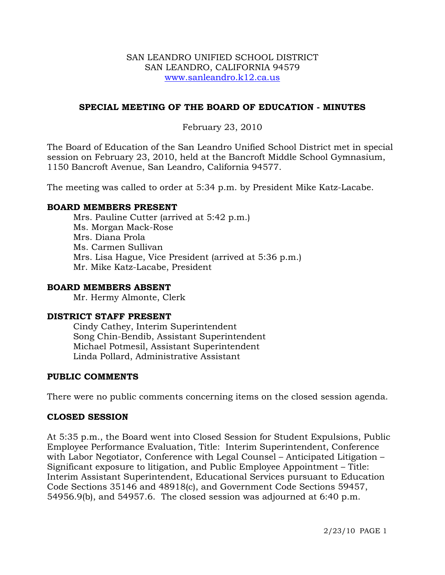#### SAN LEANDRO UNIFIED SCHOOL DISTRICT SAN LEANDRO, CALIFORNIA 94579 www.sanleandro.k12.ca.us

# **SPECIAL MEETING OF THE BOARD OF EDUCATION - MINUTES**

# February 23, 2010

The Board of Education of the San Leandro Unified School District met in special session on February 23, 2010, held at the Bancroft Middle School Gymnasium, 1150 Bancroft Avenue, San Leandro, California 94577.

The meeting was called to order at 5:34 p.m. by President Mike Katz-Lacabe.

## **BOARD MEMBERS PRESENT**

Mrs. Pauline Cutter (arrived at 5:42 p.m.) Ms. Morgan Mack-Rose Mrs. Diana Prola Ms. Carmen Sullivan Mrs. Lisa Hague, Vice President (arrived at 5:36 p.m.) Mr. Mike Katz-Lacabe, President

#### **BOARD MEMBERS ABSENT**

Mr. Hermy Almonte, Clerk

#### **DISTRICT STAFF PRESENT**

Cindy Cathey, Interim Superintendent Song Chin-Bendib, Assistant Superintendent Michael Potmesil, Assistant Superintendent Linda Pollard, Administrative Assistant

#### **PUBLIC COMMENTS**

There were no public comments concerning items on the closed session agenda.

#### **CLOSED SESSION**

At 5:35 p.m., the Board went into Closed Session for Student Expulsions, Public Employee Performance Evaluation, Title: Interim Superintendent, Conference with Labor Negotiator, Conference with Legal Counsel – Anticipated Litigation – Significant exposure to litigation, and Public Employee Appointment – Title: Interim Assistant Superintendent, Educational Services pursuant to Education Code Sections 35146 and 48918(c), and Government Code Sections 59457, 54956.9(b), and 54957.6. The closed session was adjourned at 6:40 p.m.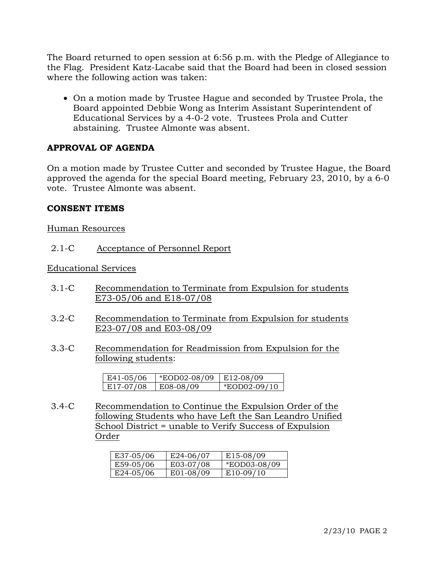The Board returned to open session at 6:56 p.m. with the Pledge of Allegiance to the Flag. President Katz-Lacabe said that the Board had been in closed session where the following action was taken:

• On a motion made by Trustee Hague and seconded by Trustee Prola, the Board appointed Debbie Wong as Interim Assistant Superintendent of Educational Services by a 4-0-2 vote. Trustees Prola and Cutter abstaining. Trustee Almonte was absent.

# **APPROVAL OF AGENDA**

On a motion made by Trustee Cutter and seconded by Trustee Hague, the Board approved the agenda for the special Board meeting, February 23, 2010, by a 6-0 vote. Trustee Almonte was absent.

## **CONSENT ITEMS**

#### Human Resources

2.1-C Acceptance of Personnel Report

#### Educational Services

- 3.1-C Recommendation to Terminate from Expulsion for students E73-05/06 and E18-07/08
- 3.2-C Recommendation to Terminate from Expulsion for students E23-07/08 and E03-08/09
- 3.3-C Recommendation for Readmission from Expulsion for the following students:

| $E41-05/06$ | <i>*EOD02-08/09</i> | $E12-08/09$    |  |
|-------------|---------------------|----------------|--|
| E17-07/08   | E08-08/09           | $*EOD02-09/10$ |  |

3.4-C Recommendation to Continue the Expulsion Order of the following Students who have Left the San Leandro Unified School District = unable to Verify Success of Expulsion Order

| E37-05/06 | $E$ 24-06/07 | E15-08/09           |
|-----------|--------------|---------------------|
| E59-05/06 | E03-07/08    | <i>*EOD03-08/09</i> |
| E24-05/06 | E01-08/09    | $E10-09/10$         |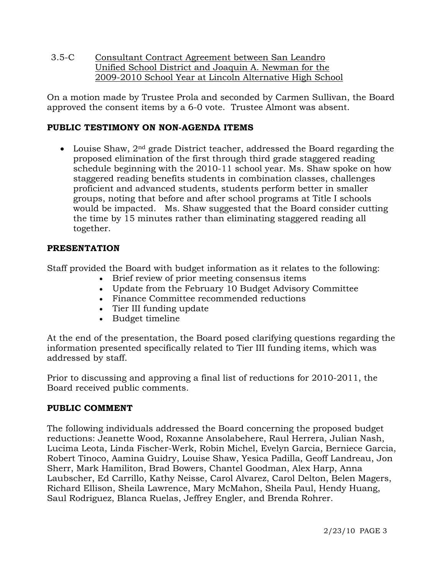3.5-C Consultant Contract Agreement between San Leandro Unified School District and Joaquin A. Newman for the 2009-2010 School Year at Lincoln Alternative High School

On a motion made by Trustee Prola and seconded by Carmen Sullivan, the Board approved the consent items by a 6-0 vote. Trustee Almont was absent.

# **PUBLIC TESTIMONY ON NON-AGENDA ITEMS**

• Louise Shaw, 2<sup>nd</sup> grade District teacher, addressed the Board regarding the proposed elimination of the first through third grade staggered reading schedule beginning with the 2010-11 school year. Ms. Shaw spoke on how staggered reading benefits students in combination classes, challenges proficient and advanced students, students perform better in smaller groups, noting that before and after school programs at Title I schools would be impacted. Ms. Shaw suggested that the Board consider cutting the time by 15 minutes rather than eliminating staggered reading all together.

## **PRESENTATION**

Staff provided the Board with budget information as it relates to the following:

- Brief review of prior meeting consensus items
- Update from the February 10 Budget Advisory Committee
- Finance Committee recommended reductions
- Tier III funding update
- Budget timeline

At the end of the presentation, the Board posed clarifying questions regarding the information presented specifically related to Tier III funding items, which was addressed by staff.

Prior to discussing and approving a final list of reductions for 2010-2011, the Board received public comments.

## **PUBLIC COMMENT**

The following individuals addressed the Board concerning the proposed budget reductions: Jeanette Wood, Roxanne Ansolabehere, Raul Herrera, Julian Nash, Lucima Leota, Linda Fischer-Werk, Robin Michel, Evelyn Garcia, Berniece Garcia, Robert Tinoco, Aamina Guidry, Louise Shaw, Yesica Padilla, Geoff Landreau, Jon Sherr, Mark Hamiliton, Brad Bowers, Chantel Goodman, Alex Harp, Anna Laubscher, Ed Carrillo, Kathy Neisse, Carol Alvarez, Carol Delton, Belen Magers, Richard Ellison, Sheila Lawrence, Mary McMahon, Sheila Paul, Hendy Huang, Saul Rodriguez, Blanca Ruelas, Jeffrey Engler, and Brenda Rohrer.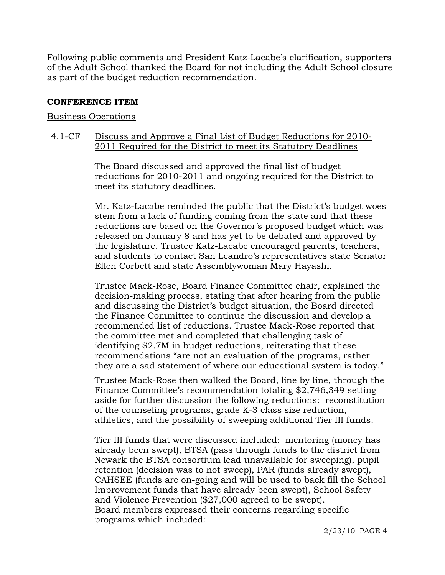Following public comments and President Katz-Lacabe's clarification, supporters of the Adult School thanked the Board for not including the Adult School closure as part of the budget reduction recommendation.

## **CONFERENCE ITEM**

#### Business Operations

## 4.1-CF Discuss and Approve a Final List of Budget Reductions for 2010- 2011 Required for the District to meet its Statutory Deadlines

The Board discussed and approved the final list of budget reductions for 2010-2011 and ongoing required for the District to meet its statutory deadlines.

Mr. Katz-Lacabe reminded the public that the District's budget woes stem from a lack of funding coming from the state and that these reductions are based on the Governor's proposed budget which was released on January 8 and has yet to be debated and approved by the legislature. Trustee Katz-Lacabe encouraged parents, teachers, and students to contact San Leandro's representatives state Senator Ellen Corbett and state Assemblywoman Mary Hayashi.

Trustee Mack-Rose, Board Finance Committee chair, explained the decision-making process, stating that after hearing from the public and discussing the District's budget situation, the Board directed the Finance Committee to continue the discussion and develop a recommended list of reductions. Trustee Mack-Rose reported that the committee met and completed that challenging task of identifying \$2.7M in budget reductions, reiterating that these recommendations "are not an evaluation of the programs, rather they are a sad statement of where our educational system is today."

Trustee Mack-Rose then walked the Board, line by line, through the Finance Committee's recommendation totaling \$2,746,349 setting aside for further discussion the following reductions: reconstitution of the counseling programs, grade K-3 class size reduction, athletics, and the possibility of sweeping additional Tier III funds.

Tier III funds that were discussed included: mentoring (money has already been swept), BTSA (pass through funds to the district from Newark the BTSA consortium lead unavailable for sweeping), pupil retention (decision was to not sweep), PAR (funds already swept), CAHSEE (funds are on-going and will be used to back fill the School Improvement funds that have already been swept), School Safety and Violence Prevention (\$27,000 agreed to be swept). Board members expressed their concerns regarding specific programs which included: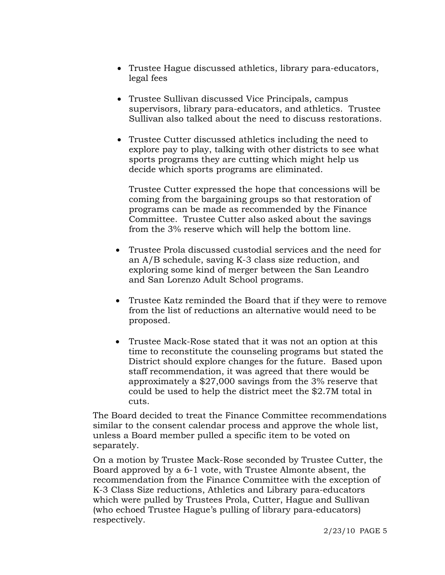- Trustee Hague discussed athletics, library para-educators, legal fees
- Trustee Sullivan discussed Vice Principals, campus supervisors, library para-educators, and athletics. Trustee Sullivan also talked about the need to discuss restorations.
- Trustee Cutter discussed athletics including the need to explore pay to play, talking with other districts to see what sports programs they are cutting which might help us decide which sports programs are eliminated.

 Trustee Cutter expressed the hope that concessions will be coming from the bargaining groups so that restoration of programs can be made as recommended by the Finance Committee. Trustee Cutter also asked about the savings from the 3% reserve which will help the bottom line.

- Trustee Prola discussed custodial services and the need for an A/B schedule, saving K-3 class size reduction, and exploring some kind of merger between the San Leandro and San Lorenzo Adult School programs.
- Trustee Katz reminded the Board that if they were to remove from the list of reductions an alternative would need to be proposed.
- Trustee Mack-Rose stated that it was not an option at this time to reconstitute the counseling programs but stated the District should explore changes for the future. Based upon staff recommendation, it was agreed that there would be approximately a \$27,000 savings from the 3% reserve that could be used to help the district meet the \$2.7M total in cuts.

The Board decided to treat the Finance Committee recommendations similar to the consent calendar process and approve the whole list, unless a Board member pulled a specific item to be voted on separately.

On a motion by Trustee Mack-Rose seconded by Trustee Cutter, the Board approved by a 6-1 vote, with Trustee Almonte absent, the recommendation from the Finance Committee with the exception of K-3 Class Size reductions, Athletics and Library para-educators which were pulled by Trustees Prola, Cutter, Hague and Sullivan (who echoed Trustee Hague's pulling of library para-educators) respectively.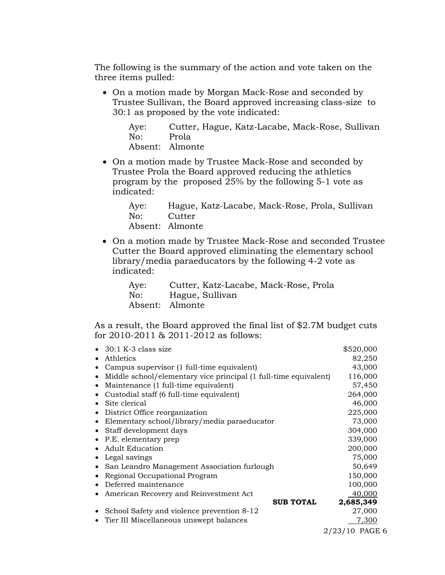The following is the summary of the action and vote taken on the three items pulled:

• On a motion made by Morgan Mack-Rose and seconded by Trustee Sullivan, the Board approved increasing class-size to 30:1 as proposed by the vote indicated:

Aye: Cutter, Hague, Katz-Lacabe, Mack-Rose, Sullivan No: Prola Absent: Almonte

• On a motion made by Trustee Mack-Rose and seconded by Trustee Prola the Board approved reducing the athletics program by the proposed 25% by the following 5-1 vote as indicated:

 Aye: Hague, Katz-Lacabe, Mack-Rose, Prola, Sullivan No: Cutter Absent: Almonte

• On a motion made by Trustee Mack-Rose and seconded Trustee Cutter the Board approved eliminating the elementary school library/media paraeducators by the following 4-2 vote as indicated:

 Aye: Cutter, Katz-Lacabe, Mack-Rose, Prola No: Hague, Sullivan Absent: Almonte

As a result, the Board approved the final list of \$2.7M budget cuts for 2010-2011 & 2011-2012 as follows:

| 30:1 K-3 class size                      |                                                                  |                  | \$520,000        |
|------------------------------------------|------------------------------------------------------------------|------------------|------------------|
| Athletics                                |                                                                  |                  | 82,250           |
|                                          | Campus supervisor (1 full-time equivalent)                       |                  | 43,000           |
|                                          | Middle school/elementary vice principal (1 full-time equivalent) |                  | 116,000          |
| Maintenance (1 full-time equivalent)     |                                                                  |                  | 57,450           |
| Custodial staff (6 full-time equivalent) |                                                                  |                  | 264,000          |
| Site clerical                            |                                                                  |                  | 46,000           |
| District Office reorganization           |                                                                  |                  | 225,000          |
|                                          | Elementary school/library/media paraeducator                     |                  | 73,000           |
| Staff development days                   |                                                                  |                  | 304,000          |
| P.E. elementary prep                     |                                                                  |                  | 339,000          |
| <b>Adult Education</b>                   |                                                                  |                  | 200,000          |
| Legal savings                            |                                                                  |                  | 75,000           |
|                                          | San Leandro Management Association furlough                      |                  | 50,649           |
| Regional Occupational Program            |                                                                  |                  | 150,000          |
| Deferred maintenance                     |                                                                  |                  | 100,000          |
| American Recovery and Reinvestment Act   |                                                                  |                  | 40,000           |
|                                          |                                                                  | <b>SUB TOTAL</b> | 2,685,349        |
|                                          | School Safety and violence prevention 8-12                       |                  | 27,000           |
| Tier III Miscellaneous unswept balances  |                                                                  |                  | 7,300            |
|                                          |                                                                  |                  | $2/23/10$ PAGE 6 |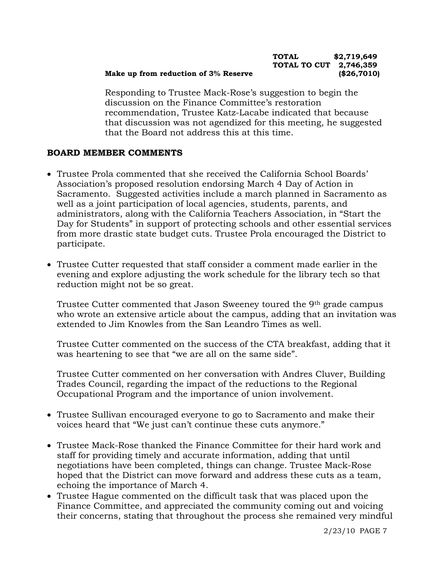#### **TOTAL \$2,719,649 TOTAL TO CUT 2,746,359 Make up from reduction of 3% Reserve (\$26,7010)**

Responding to Trustee Mack-Rose's suggestion to begin the discussion on the Finance Committee's restoration recommendation, Trustee Katz-Lacabe indicated that because that discussion was not agendized for this meeting, he suggested that the Board not address this at this time.

## **BOARD MEMBER COMMENTS**

- Trustee Prola commented that she received the California School Boards' Association's proposed resolution endorsing March 4 Day of Action in Sacramento. Suggested activities include a march planned in Sacramento as well as a joint participation of local agencies, students, parents, and administrators, along with the California Teachers Association, in "Start the Day for Students" in support of protecting schools and other essential services from more drastic state budget cuts. Trustee Prola encouraged the District to participate.
- Trustee Cutter requested that staff consider a comment made earlier in the evening and explore adjusting the work schedule for the library tech so that reduction might not be so great.

 Trustee Cutter commented that Jason Sweeney toured the 9th grade campus who wrote an extensive article about the campus, adding that an invitation was extended to Jim Knowles from the San Leandro Times as well.

 Trustee Cutter commented on the success of the CTA breakfast, adding that it was heartening to see that "we are all on the same side".

 Trustee Cutter commented on her conversation with Andres Cluver, Building Trades Council, regarding the impact of the reductions to the Regional Occupational Program and the importance of union involvement.

- Trustee Sullivan encouraged everyone to go to Sacramento and make their voices heard that "We just can't continue these cuts anymore."
- Trustee Mack-Rose thanked the Finance Committee for their hard work and staff for providing timely and accurate information, adding that until negotiations have been completed, things can change. Trustee Mack-Rose hoped that the District can move forward and address these cuts as a team, echoing the importance of March 4.
- Trustee Hague commented on the difficult task that was placed upon the Finance Committee, and appreciated the community coming out and voicing their concerns, stating that throughout the process she remained very mindful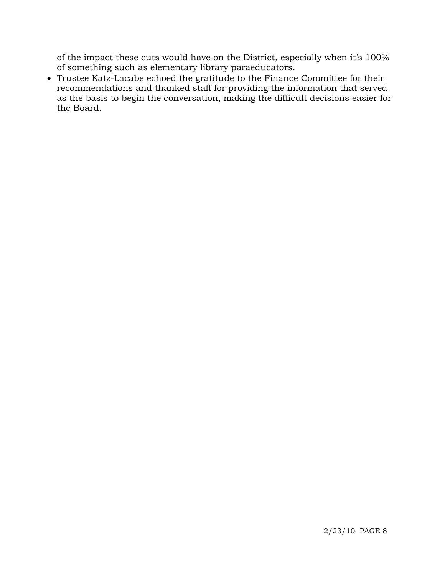of the impact these cuts would have on the District, especially when it's 100% of something such as elementary library paraeducators.

• Trustee Katz-Lacabe echoed the gratitude to the Finance Committee for their recommendations and thanked staff for providing the information that served as the basis to begin the conversation, making the difficult decisions easier for the Board.